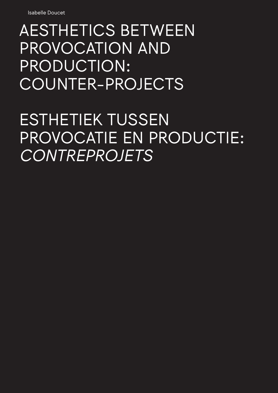## AESTHETICS BETWEEN PROVOCATION AND PRODUCTION: COUNTER-PROJECTS

ESTHETIEK TUSSEN PROVOCATIE EN PRODUCTIE: *CONTREPROJETS*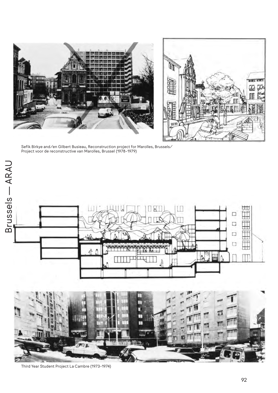



Sefik Birkye and/en Gilbert Busieau, Reconstruction project for Marolles, Brussels/ Project voor de reconstructive van Marolles, Brussel (1978-1979)



Third Year Student Project La Cambre (1973-1974)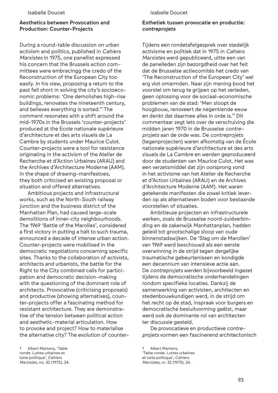## Aesthetics between Provocation and Production: Counter-Projects

During a round-table discussion on urban activism and politics, published in *Cahiers Marxistes* in 1975, one panellist expressed his concern that the Brussels action committees were embracingg the credo of the Reconstruction of the European City too easily. In his view, proposing a return to the past fell short in solving the city's socioeconomic problems: 'One demolishes high-rise buildings, renovates the nineteenth century, and believes everything is sorted.'1 The comment resonates with a shift around the mid-1970s in the Brussels 'counter-projects' produced at the Ecole nationale supérieure d'architecture et des arts visuels de La Cambre by students under Maurice Culot. Counter-projects were a tool for resistance originating in the activism of the Atelier de Recherche et d'Action Urbaines (ARAU) and the Archives d'Architecture Moderne (AAM). In the shape of drawing-manifestoes, they both criticised an existing proposal or situation and offered alternatives.

Ambitious projects and infrastructural works, such as the North-South railway junction and the business district of the Manhattan Plan, had caused large-scale demolitions of inner-city neighbourhoods. The 1969 'Battle of the Marolles', considered a first victory in putting a halt to such trauma, announced a decade of intense urban action. Counter-projects were mobilised in the democratic negotiations concerning specific sites. Thanks to the collaboration of activists, architects and urbanists, the battle for the Right to the City combined calls for participation and democratic decision-making with the questioning of the dominant role of architects. Provocative (criticising proposals) and productive (showing alternatives), counter-projects offer a fascinating method for resistant architecture. They are demonstrative of the tension between political action and aesthetic-material articulation. How to provoke and project? How to materialise the alternative city? The evolution of counter-

## Isabelle Doucet

## Esthetiek tussen provocatie en productie: *contreprojets*

Tijdens een rondetafelgesprek over stedelijk activisme en politiek dat in 1975 in *Cahiers Marxistes* werd gepubliceerd, uitte een van de panelleden zijn bezorgdheid over het feit dat de Brusselse actiecomités het credo van 'The Reconstruction of the European City' wel erg vlot omarmden. Naar zijn mening bood het voorstel om terug te grijpen op het verleden, geen oplossing voor de sociaal-economische problemen van de stad: 'Men sloopt de hoogbouw, renoveert de negentiende eeuw en denkt dat daarmee alles in orde is.'" Dit commentaar zegt iets over de verschuiving die midden jaren 1970 in de Brusselse *contreprojets* aan de orde was. De *contreprojets* (tegenprojecten) waren afkomstig van de École nationale supérieure d'architecture et des arts visuels de La Cambre en werden geproduceerd door de studenten van Maurice Culot. Het was een verzetsmiddel dat zijn oorsprong vond in het activisme van het Atelier de Recherche et d'Action Urbaines (ARAU) en de Archives d'Architecture Moderne (AAM). Het waren getekende manifesten die zowel kritiek leverden op als alternatieven boden voor bestaande voorstellen of situaties.

Ambitieuze projecten en infrastructurele werken, zoals de Brusselse noord-zuidverbinding en de zakenwijk Manhattanplan, hadden geleid tot grootschalige sloop van oude binnenstadswijken. De 'Slag om de Marollen' van 1969 werd beschouwd als een eerste overwinning in de strijd tegen dergelijke traumatische gebeurtenissen en kondigde een decennium van intensieve actie aan. De *contreprojets* werden bijvoorbeeld ingezet tijdens de democratische onderhandelingen rondom specifieke locaties. Dankzij de samenwerking van activisten, architecten en stedenbouwkundigen werd, in de strijd om het recht op de stad, inspraak voor burgers en democratische besluitvorming geëist, maar werd ook de dominante rol van architecten ter discussie gesteld.

De provocatieve en productieve *contreprojets* vormen een fascinerend architectonisch

<sup>1</sup> Albert Martens, 'Table ronde. Luttes urbaines et lutte politique', *Cahiers Marxistes*, no. 32 (1975), 24.

Albert Martens, 'Table ronde. Luttes urbaines et lutte politique', *Cahiers Marxistes*, nr. 32 (1975), 24.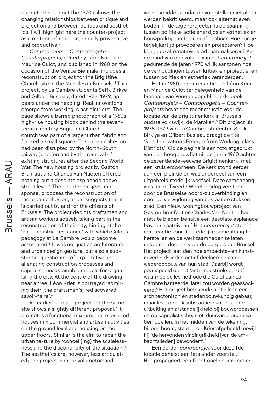projects throughout the 1970s shows the changing relationships between critique and projection and between politics and aesthetics. I will highlight here the counter-project as a method of reaction, equally provocative and productive.<sup>2</sup>

*Contreprojets* – *Controprogetti* – *Counterprojects*, edited by Léon Krier and Maurice Culot, and published in 1980 on the occasion of the Venice Biennale, includes a reconstruction project for the Brigittine Church site in the Marolles in Brussels.3 This project, by La Cambre students Sefik Birkye and Gilbert Busieau, dated 1978-1979, appears under the heading 'Real innovations emerge from working-class districts'. The page shows a barred photograph of a 1960s high-rise housing block behind the seventeenth-century Brigittine Church. The church was part of a larger urban fabric and flanked a small square. This urban cohesion had been disrupted by the North-South railway junction and by the removal of existing structures after the Second World War. The new housing project by Gaston Brunfaut and Charles Van Nueten offered nothing but a desolate esplanade above street level.<sup>4</sup> The counter-project, in response, proposes the reconstruction of the urban cohesion, and it suggests that it is carried out by and for the citizens of Brussels. The project depicts craftsmen and artisan workers actively taking part in the reconstruction of their city, hinting at the 'anti-industrial resistance' with which Culot's pedagogy at La Cambre would become associated.5 It was not just an architectural and urban design gesture, but also a substantial questioning of exploitative and alienating construction processes and capitalist, unsustainable models for organising the city. At the centre of the drawing, near a tree, Léon Krier is portrayed 'admiring their [the craftsmen's] rediscovered savoir-faire'.<sup>6</sup>

An earlier counter-project for the same site shows a slightly different proposal.7 It promotes a functional mixture: the re-erected houses mix commercial and artisan activities on the ground level and housing on the upper floors. Similar is the aim to repair the urban texture by 'conceil[ing] the scalelessness and the discontinuity of the situation'.8 The aesthetics are, however, less articulated; the project is more volumetric and

verzetsmiddel, omdat de voorstellen niet alleen werden bekritiseerd, maar ook alternatieven boden. In de tegenprojecten is de spanning tussen politieke actie enerzijds en esthetiek en bouwpraktijk anderzijds afleesbaar. Hoe kun je tegelijkertijd provoceren én projecteren? Hoe kun je de alternatieve stad materialiseren? Aan de hand van de evolutie van het *contreprojet* gedurende de jaren 1970 wil ik aantonen hoe de verhoudingen tussen kritiek en projectie, en tussen politiek en esthetiek veranderden.2

Het in 1980 onder redactie van Léon Krier en Maurice Culot ter gelegenheid van de biënnale van Venetië gepubliceerde boek *Contreprojets – Controprogetti – Counterprojects* bevat een reconstructie voor de locatie van de Brigittinenkerk in Brussels oudste volkswijk, de Marollen.3 Dit project uit 1978-1979 van La Cambre-studenten Sefik Birkiye en Gilbert Busieau draagt de titel 'Real Innovations Emerge from Working-class Districts'. Op de pagina is een foto afgedrukt van een hoogbouwflat uit de jaren 1960 achter de zeventiende-eeuwse Brigittinenkerk, met een kruis erdoorheen. De kerk stond eerder aan een pleintje en was onderdeel van een uitgebreid stedelijk weefsel. Deze samenhang was na de Tweede Wereldoorlog verstoord door de Brusselse noord-zuidverbinding en door de verwijdering van bestaande stukken stad. Een nieuw woningbouwproject van Gaston Brunfaut en Charles Van Nueten had niets te bieden behalve een desolate esplanade boven straatniveau.4 Het *contreprojet* stelt in een reactie voor de stedelijke samenhang te herstellen en de werkzaamheden te laten uitvoeren door en voor de burgers van Brussel. Het project laat zien hoe ambachts- en kunstnijverheidslieden actief deelnemen aan de wederopbouw van hun stad. Daarbij wordt gezinspeeld op het 'anti-industriële verzet' waarmee de lesmethode die Culot aan La Cambre hanteerde, later zou worden geassocieerd.5 Het project betekende niet alleen een architectonisch en stedenbouwkundig gebaar, maar leverde ook substantiële kritiek op de uitbuiting en afstandelijkheid bij bouwprocessen en op kapitalistische, niet-duurzame organisatiemodellen. In het midden van de tekening, bij een boom, staat Léon Krier afgebeeld terwijl hij 'de hervonden vindingrijkheid [van de ambachtslieden] bewondert'. 6

Een eerder *contreprojet* voor dezelfde locatie behelst een iets ander voorstel.7 Het propageert een functionele combinatie: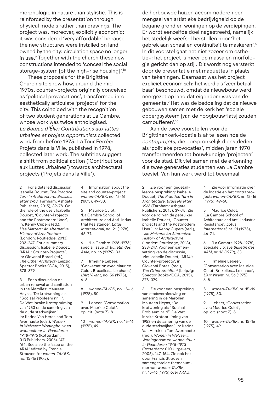morphologic in nature than stylistic. This is reinforced by the presentation through physical models rather than drawings. The project was, moreover, explicitly economic: it was considered 'very affordable' because the new structures were installed on land owned by the city: circulation space no longer in use.9 Together with the church these new constructions intended to 'conceal the social storage-system [of the high-rise housing]'.10

These proposals for the Brigittine Church site show how, around the mid-1970s, counter-projects originally conceived as 'political provocations', transformed into aesthetically articulate 'projects' for the city. This coincided with the recognition of two student generations at La Cambre, whose work was twice anthologised. *Le Bateau d'Élie: Contributions aux luttes urbaines et projets opportunists* collected work from before 1975; La Tour Ferrée: Projets dans la Ville, published in 1978, collected later work. The subtitles suggest a shift from political action ('Contributions aux Luttes Urbaines') towards architectural projects ('Projets dans la Ville').

2 For a detailed discussion: Isabelle Doucet, *The Practice Turn in Architecture. Brussels after 1968* (Farnham: Ashgate Publishers, 2015), 39-78. On the role of the user: Isabelle Doucet, 'Counter-Projects and the Postmodern User', in: Kenny Cupers (ed.), *Use Matters: An Alternative History of Architecture* (London: Routledge, 2013), 233-247. For a summary discussion: Isabelle Doucet, 'ARAU: Counter-Projects', in: Giovanni Borasi (ed.), *The Other Architect* (Leipzig: Spector Books/CCA, 2015), 378-379.

3 For a discussion on urban renewal and sanitation in the Marolles: Maureen Heyns, 'De krotwoning als "Sociaal Probleem nr. 1". De Wet inzake Krotopruiming van 1953 en de sanering van de oude stadswijken', in: Karina Van Herck and Tom Avermaete (eds.), *Wonen in Welvaart: Woningbouw en wooncultuur in Vlaanderen 1948-1973* (Rotterdam: 010 Publishers, 2006), 147- 164. See also the issue on the ARAU edited by Francis Strauven for *wonen-TA/BK*, no. 15-16 (1975).

Information about the site and counter-project: *wonen-TA/BK*, no. 15-16 (1975), 49-50.

5 Maurice Culot, 'La Cambre School of Architecture and Anti-Industrial Resistance', *Lotus International*, no. 21 (1978), 46-71.

6 'La Cambre 1928-1978', special issue of *Bulletin des AAM*, no. 16 (1979), 33.

7 Irmeline Lebeer, 'Conversation avec Maurice Culot. Bruxelles… Le chaos', *L'Art Vivant*, no. 56 (1975), 6-8.

8 *wonen-TA/BK*, no. 15-16 (1975), 50.

9 Lebeer, 'Conversation avec Maurice Culot', op. cit. (note 7), 8.

10 *wonen-TA/BK*, no. 15-16 (1975), 49.

de herbouwde huizen accommoderen een mengsel van artistieke bedrijvigheid op de begane grond en woningen op de verdiepingen. Er wordt eenzelfde doel nagestreefd, namelijk het stedelijk weefsel herstellen door 'het gebrek aan schaal en continuïteit te maskeren'.8 In dit voorstel gaat het niet zozeer om esthetiek: het project is meer op massa en morfologie gericht dan op stijl. Dit wordt nog versterkt door de presentatie met maquettes in plaats van tekeningen. Daarnaast was het project expliciet economisch: het werd als 'zeer betaalbaar' beschouwd, omdat de nieuwbouw werd neergezet op land dat eigendom was van de gemeente.9 Het was de bedoeling dat de nieuwe gebouwen samen met de kerk het 'sociale opbergsysteem [van de hoogbouwflats] zouden camoufleren'.10

Aan de twee voorstellen voor de Brigittinenkerk-locatie is af te lezen hoe de *contreprojets*, die oorspronkelijk dienstdeden als 'politieke provocaties', midden jaren 1970 transformeerden tot bouwkundige 'projecten' voor de stad. Dit viel samen met de erkenning die twee generaties studenten van La Cambre toeviel. Van hun werk werd tot tweemaal

2 Zie voor een gedetailleerde bespreking: Isabelle Doucet, *The Practice Turn in Architecture. Brussels after 1968* (Farnham: Ashgate Publishers, 2015), 39-78. Zie voor de rol van de gebruiker: Isabelle Doucet, 'Counterprojects and the Postmodern User', in: Kenny Cupers (red.), *Use Matters: An Alternative History of Architecture*  (Londen: Routledge, 2013), 233-247. Voor een samenvatting van de discussie, zie: Isabelle Doucet, 'ARAU: Counter-projects', in: Giovanni Borasi (red.), *The Other Architect* (Leipzig: Spector Books/CCA, 2015), 378-379.

3 Zie voor een bespreking van stadsvernieuwing en sanering in de Marollen: Maureen Heyns, 'De krotwoning als "Sociaal Probleem nr. 1". De Wet inzake Krotopruiming van 1953 en de sanering van de oude stadswijken', in: Karina Van Herck en Tom Avermaete (red.), *Wonen in Welvaart: Woningbouw en wooncultuur in Vlaanderen 1948-1973* (Rotterdam: 010 Uitgevers, 2006), 147-164. Zie ook het door Francis Strauven samengestelde themanummer van *wonen-TA/BK*, nr. 15-16 (1975) over ARAU.

4 Zie voor informatie over de locatie en het contraproject: *wonen-TA/BK*, nr. 15-16 (1975), 49-50.

5 Maurice Culot, 'La Cambre School of Achitecture and Anti-Industrial Resistance', *Lotus International*, nr. 21 (1978), 46-71.

6 'La Cambre 1928-1978', speciale uitgave *Bulletin des AAM*, nr. 16 (1979), 33.

7 Irmeline Lebeer, 'Conversation avec Maurice Culot. Bruxelles… Le chaos', *L'Art Vivant*, nr. 56 (1975), 6-8.

8 *wonen-TA/BK*, nr. 15-16 (1975), 50.

9 Lebeer, 'Conversation avec Maurice Culot', op. cit. (noot 7), 8.

10 *wonen-TA/BK*, nr. 15-16 (1975), 49.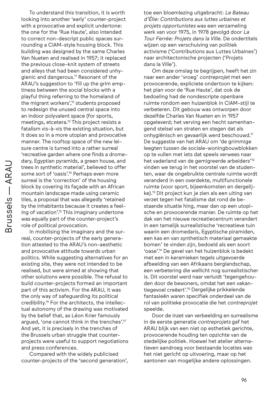To understand this transition, it is worth looking into another 'early' counter-project with a provocative and explicit undertone: the one for the 'Rue Haute', also intended to correct non-descript public spaces surrounding a CIAM-style housing block. This building was designed by the same Charles Van Nueten and realised in 1957; it replaced the previous close-knit system of streets and alleys that had been considered unhygienic and dangerous.11 Resonant of the ARAU's suggestion to 'fill up the grim emptiness between the social blocks with a playful thing referring to the homeland of the migrant workers',<sup>12</sup> students proposed to redesign the unused central space into an indoor polyvalent space (for sports, meetings, etcetera.<sup>13</sup> This project resists a fatalism vis-à-vis the existing situation, but it does so in a more utopian and provocative manner. The rooftop space of the new leisure centre is turned into a rather surreal 'recreative garden where one finds a dromedary, Egyptian pyramids, a green house, and trees in synthetic material', believed to offer some sort of 'oasis'.<sup>14</sup> Perhaps even more surreal is the 'correction' of the housing block by covering its façade with an African mountain landscape made using ceramic tiles, a proposal that was allegedly 'retained by the inhabitants because it creates a feeling of vacation'.<sup>15</sup> This imaginary undertone was equally part of the counter-project's role of political provocation.

In mobilising the imaginary and the surreal, counter-projects of the early generation attested to the ARAU's non-aesthetic and provocative attitude towards urban politics. While suggesting alternatives for an existing site, they were not intended to be realised, but were aimed at showing that other solutions were possible. The refusal to build counter-projects formed an important part of this activism. For the ARAU, it was the only way of safeguarding its political credibility.<sup>16</sup> For the architects, the intellectual autonomy of the drawing was motivated by the belief that, as Léon Krier famously argued, 'one cannot think in the trenches'.17 And yet, it is precisely in the trenches of the Brussels urban struggle that counterprojects were useful to support negotiations and press conferences.

Compared with the widely publicised counter-projects of the 'second generation', toe een bloemlezing uitgebracht: *Le Bateau d'Élie: Contributions aux luttes urbaines et projets opportunistes* was een verzameling werk van voor 1975, in 1978 gevolgd door *La Tour Ferrée: Projets dans la Ville.* De ondertitels wijzen op een verschuiving van politiek activisme ('Contributions aux Luttes Urbaines') naar architectonische projecten ('Projets dans la Ville').

Om deze omslag te begrijpen, heeft het zin naar een ander 'vroeg' *contreprojet* met een provocerende, expliciete ondertoon te kijken: het plan voor de 'Rue Haute', dat ook de bedoeling had de nondescripte openbare ruimte rondom een huizenblok in CIAM-stijl te verbeteren. Dit gebouw was ontworpen door dezelfde Charles Van Nueten en in 1957 opgeleverd; het verving een hecht samenhangend stelsel van straten en stegen dat als onhygiënisch en gevaarlijk werd beschouwd.11 De suggestie van het ARAU om 'de grimmige leegten tussen de sociale-woningbouwblokken op te vullen met iets dat speels verwees naar het vaderland van de gemigreerde arbeiders'12 vinden we terug in het voorstel van de studenten, waar de ongebruikte centrale ruimte wordt veranderd in een overdekte, multifunctionele ruimte (voor sport, bijeenkomsten en dergelijke).13 Dit project kun je zien als een uiting van verzet tegen het fatalisme dat rond de bestaande situatie hing, maar dan op een utopische en provocerende manier. De ruimte op het dak van het nieuwe recreatiecentrum verandert in een tamelijk surrealistische 'recreatieve tuin waarin een dromedaris, Egyptische piramiden, een kas en van synthetisch materiaal gemaakte bomen' te vinden zijn, bedoeld als een soort 'oase'.14 De gevel van het huizenblok is bedekt met een in keramieken tegels uitgevoerde afbeelding van een Afrikaans berglandschap, een verbetering die wellicht nog surrealistischer is. Dit voorstel werd naar verluidt 'tegengehouden door de bewoners, omdat het een vakantiegevoel creëert'.15 Dergelijke prikkelende fantasieën waren specifiek onderdeel van de rol van politieke provocatie die het *contreprojet* speelde.

Door de inzet van verbeelding en surrealisme in de eerste generatie *contreprojets* gaf het ARAU blijk van een niet op esthetiek gerichte, provocerende houding ten opzichte van de stedelijke politiek. Hoewel het atelier alternatieven aandroeg voor bestaande locaties was het niet gericht op uitvoering, maar op het aantonen van mogelijke andere oplossingen.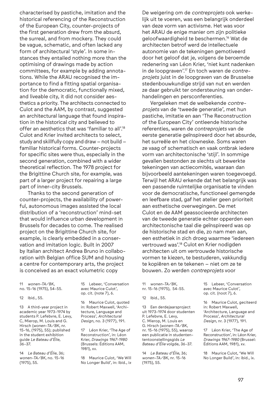characterised by pastiche, imitation and the historical referencing of the Reconstruction of the European City, counter-projects of the first generation drew from the absurd, the surreal, and from mockery. They could be vague, schematic, and often lacked any form of architectural 'style'. In some instances they entailed nothing more than the optimising of drawings made by action committees, for example by adding annotations. While the ARAU recognised the importance to find a fitting spatial organisation for the democratic, functionally mixed, and liveable city, it did not consider aesthetics a priority. The architects connected to Culot and the AAM, by contrast, suggested an architectural language that found inspiration in the historical city and believed to offer an aesthetics that was 'familiar to all'.18 Culot and Krier invited architects to select, study and skillfully copy and draw – not build – familiar historical forms. Counter-projects for specific sites were thus, especially in the second generation, combined with a wider theoretical reflection. The 1978 project for the Brigittine Church site, for example, was part of a larger project for repairing a large part of inner-city Brussels.

Thanks to the second generation of counter-projects, the availability of powerful, autonomous images assisted the local distribution of a 'reconstruction' mind-set that would influence urban development in Brussels for decades to come. The realised project on the Brigittine Church site, for example, is clearly embedded in a conservation and imitation logic. Built in 2007 by Italian architect Andrea Bruno in collaboration with Belgian office SUM and housing a centre for contemporary arts, the project is conceived as an exact volumetric copy

11 *wonen-TA/BK*, no. 15-16 (1975), 54-55.

12 Ibid., 55.

13 A third-year project in academic year 1973-1974 by students P. Lefebvre, E. Levy, C, Mierop, M. Louis and G. Hirsch (*wonen-TA/BK*, nr. 15-16, (1975), 55); published in the student exhibition guide *Le Bateau d'Élie*, 36-37.

14 *Le Bateau d'Élie*, 36; *wonen-TA/BK*, no. 15-16 (1975), 55.

15 Lebeer, 'Conversation avec Maurice Culot', op. cit. (note 7), 6.

16 Maurice Culot, quoted in: Robert Maxwell, 'Architecture, Language and Process', *Architectural Design*, no. 3 (1977), 191.

17 Léon Krier, 'The Age of Reconstruction', in: Léon Krier, *Drawings 1967-1980* (Brussels: Éditions AAM, 1981), xv.

18 Maurice Culot, 'We Will No Longer Build', in: Ibid., ix.

De weigering om de *contreprojets* ook werkelijk uit te voeren, was een belangrijk onderdeel van deze vorm van activisme. Het was voor het ARAU de enige manier om zijn politieke geloofwaardigheid te beschermen.16 Wat de architecten betrof werd de intellectuele autonomie van de tekeningen gemotiveerd door het geloof dat je, volgens de beroemde redenering van Léon Krier, 'niet kunt nadenken in de loopgraven'.17 En toch waren de *contreprojets* juist in de loopgraven van de Brusselse stedenbouwkundige strijd van nut en werden ze daar gebruikt ter ondersteuning van onderhandelingen en persconferenties.

Vergeleken met de welbekende *contreprojets* van de 'tweede generatie', met hun pastiche, imitatie en aan 'The Reconstruction of the European City' ontleende historische referenties, waren de *contreprojets* van de eerste generatie geïnspireerd door het absurde, het surreële en het clowneske. Soms waren ze vaag of schematisch en vaak ontbrak iedere vorm van architectonische 'stijl'. In sommige gevallen bestonden ze slechts uit bewerkte tekeningen van actiecomités, waaraan dan bijvoorbeeld aantekeningen waren toegevoegd. Terwijl het ARAU erkende dat het belangrijk was een passende ruimtelijke organisatie te vinden voor de democratische, functioneel gemengde en leefbare stad, gaf het atelier geen prioriteit aan esthetische overwegingen. De met Culot en de AAM geassocieerde architecten van de tweede generatie echter opperden een architectonische taal die geïnspireerd was op de historische stad en die, zo nam men aan, een esthetiek in zich droeg waarmee 'iedereen vertrouwd was'.18 Culot en Krier nodigden architecten uit om vertrouwde historische vormen te kiezen, te bestuderen, vakkundig te kopiëren en te tekenen – niet om ze te bouwen. Zo werden *contreprojets* voor

11 *wonen-TA/BK*, nr. 15-16 (1975), 54-55.

12 Ibid., 55.

13 Een derdejaarsproject uit 1973-1974 door studenten P. Lefebvre, E. Levy, C. Mierop, M. Louis en G. Hirsch (*wonen-TA/BK*, nr. 15-16 (1975), 55), waarop een publicatie in studentententoonstellingsgids *Le Bateau d'Élie* volgde*,* 36-37.

14 *Le Bateau d'Élie*, 36; *wonen-TA/BK*, nr. 15-16 (1975), 55.

15 Lebeer, 'Conversation avec Maurice Culot', op. cit. (noot 7), 6.

16 Maurice Culot, geciteerd in: Robert Maxwell, 'Architecture, Language and Process', *Architectural Design*, nr. 3 (1977), 191.

17 Léon Krier, 'The Age of Reconstruction', in: Léon Krier, *Drawings 1967-1980* (Brussel: Éditions AAM, 1981), xv.

18 Maurice Culot, 'We Will No Longer Build', in: ibid., ix.